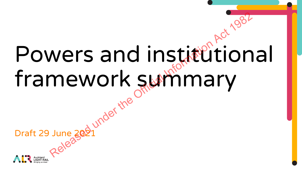### Powers and institutional framework summary wers and institution<br>mework summary<br>were of the Official Informaty

Draft 29 June 2021

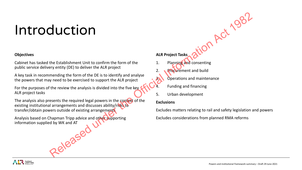### Introduction

### **Objectives**

Cabinet has tasked the Establishment Unit to confirm the form of the public service delivery entity (DE) to deliver the ALR project

A key task in recommending the form of the DE is to identify and analyse the powers that may need to be exercised to support the ALR project

For the purposes of the review the analysis is divided into the five key ALR project tasks

The analysis also presents the required legal powers in the context of the existing institutional arrangements and discusses ability/risks to transfer/obtain powers outside of existing arrangements **EXAMPLE SEVERAGE UNDER ACTION ACTION**<br>
The Establishment Unit to confirm the form of the<br>
mending the force it Alta project Tasks<br>
mending the form of the OE is to identify and analyse<br>
mending the concerning<br>
mending the

Analysis based on Chapman Tripp advice and other supporting information supplied by WK and AT

**ALR Project Tasks**

- Planning and consenting
- 2. Procurement and build
- **3.** Operations and maintenance
	- 4. Funding and financing
- 5. Urban development

### **Exclusions**

Excludes matters relating to rail and safety legislation and powers

Excludes considerations from planned RMA reforms

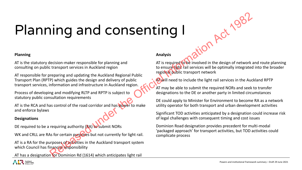# Planning and consenting I The Commute of the Act Community of Equal and the Community of Equal contains and the Community of the Community of the Community of the Community of the Community of the Community of the Community of the Community of the

### **Planning**

AT is the statutory decision-maker responsible for planning and consulting on public transport services in Auckland region

AT responsible for preparing and updating the Auckland Regional Public Transport Plan (RPTP) which guides the design and delivery of public transport services, information and infrastructure in Auckland region.

Process of developing and modifying RLTP and RPTP is subject to statutory public consultation requirements

AT is the RCA and has control of the road corridor and has power to make and enforce bylaws

### **Designations**

DE required to be a requiring authority (RA) to submit NORs

WK and CRLL are RAs for certain purposes but not currently for light rail.

AT is a RA for the purposes of activities in the Auckland transport system which Council has financial responsibility

AT has a designation for Dominion Rd (1614) which anticipates light rail

### **Analysis**

AT is required to be involved in the design of network and route planning to ensure light rail services will be optimally integrated into the broader regional public transport network

AT will need to include the light rail services in the Auckland RPTP

AT may be able to submit the required NORs and seek to transfer designations to the DE or another party in limited circumstances

DE could apply to Minister for Environment to become RA as a network utility operator for both transport and urban development activities

Significant TOD activities anticipated by a designation could increase risk of legal challenges with consequent timing and cost issues

Dominion Road designation provides precedent for multi-modal 'packaged approach' for transport activities, but TOD activities could complicate process

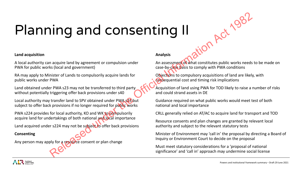# Planning and consenting II **EXERCTS AND CONSENTING III**<br>
Analysis<br>
Analysis<br>
Analysis<br>
As (Scelar and government)<br>
Analysis<br>
As assessing of What constitutes public works needs<br>
Ski (Cocal and government)<br>
The Cali and government)<br>
The Cali and com

### **Land acquisition**

A local authority can acquire land by agreement or compulsion under PWA for public works (local and government)

RA may apply to Minister of Lands to compulsorily acquire lands for public works under PWA

Land obtained under PWA s23 may not be transferred to third party without potentially triggering offer back provisions under s40

Local authority may transfer land to SPV obtained under PWA s23 but subject to offer back provisions if no longer required for public works

PWA s224 provides for local authority, KO and WK to compulsorily acquire land for undertakings of both national and local importance

Land acquired under s224 may not be subject to offer back provisions

### **Consenting**

Any person may apply for a resource consent or plan change

### **Analysis**

An assessment of what constitutes public works needs to be made on case-by-case basis to comply with PWA conditions

Objections to compulsory acquisitions of land are likely, with consequential cost and timing risk implications

Acquisition of land using PWA for TOD likely to raise a number of risks and could strand assets in DE

Guidance required on what public works would meet test of both national and local importance

CRLL generally relied on AT/AC to acquire land for transport and TOD

Resource consents and plan changes are granted by relevant local authority and subject to the relevant statutory tests

Minister of Environment may 'call in' the proposal by directing a Board of Inquiry or Environment Court to decide on the proposal

Must meet statutory considerations for a 'proposal of national significance' and 'call in' approach may undermine social license

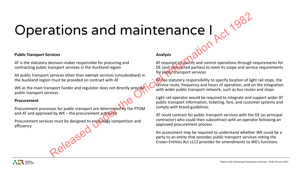# Operations and maintenance I **EXAM SURFERENT CONSECT AND SURFERENT CONSECT AND SURFERENT CONSECT AND SURFERENT CONSECT AND SURFERENT CONSECT AND SURFERENT CONSECT AND SURFERENT CONSECT AND DESCRIPTION OF A CHANGE CHANGE OF A CHANGE OF A CHANGE CONSECT**

### **Public Transport Services**

AT is the statutory decision-maker responsible for procuring and contracting public transport services in the Auckland region

All public transport services other than exempt services (unsubsidised) in the Auckland region must be provided on contract with AT

WK as the main transport funder and regulator does not directly provide public transport services

### **Procurement**

Procurement processes for public transport are determined by the PTOM and AT and approved by  $WK$  – the procurement authority

Procurement services must be designed to encourage competition and efficiency

### **Analysis**

AT required to specify and control operations through requirements for DE (and contracted parties) to meet its scope and service requirements for public transport services

AT has statutory responsibility to specify location of light rail stops, the service route, frequency and hours of operation, and on the integration with wider public transport network, such as bus routes and stops

Light rail operator would be required to integrate and support wider AT public transport information, ticketing, fare, and customer systems and comply with brand guidelines

AT could contract for public transport services with the DE (as principal contractor) who could then subcontract with an operator following an approved procurement process

An assessment may be required to understand whether WK could be a party to an entity that provides public transport services noting the Crown Entities Act s112 provides for amendments to WK's functions

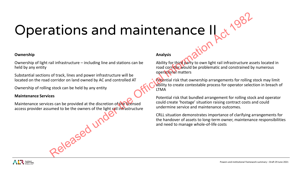# Operations and maintenance II all infrastructure – including line and stations can be analysis<br>all infrastructure – including line and stations can be related by to this counter information and controlling<br>of the Official Information and one of the Con

### **Ownership**

Ownership of light rail infrastructure – including line and stations can be held by any entity

Substantial sections of track, lines and power infrastructure will be located on the road corridor on land owned by AC and controlled AT

Ownership of rolling stock can be held by any entity

### **Maintenance Services**

Maintenance services can be provided at the discretion of the licensed access provider assumed to be the owners of the light rail infrastructure

### **Analysis**

Ability for third party to own light rail infrastructure assets located in road corridor would be problematic and constrained by numerous operational matters

Potential risk that ownership arrangements for rolling stock may limit ability to create contestable process for operator selection in breach of LTMA

Potential risk that bundled arrangement for rolling stock and operator could create 'hostage' situation raising contract costs and could undermine service and maintenance outcomes.

CRLL situation demonstrates importance of clarifying arrangements for the handover of assets to long-term owner, maintenance responsibilities and need to manage whole-of-life costs

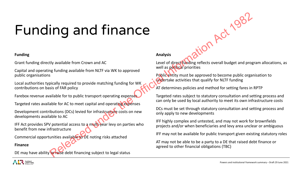# Funding and finance From Cown and Act under the Official Information CONDITION CONTINUES and the CONDITION CONTINUES with a material of the CONDITION CONTINUES INTERNATION CONTINUES INTERNATION CONTINUES IN THE CONTINUES INTERNATION CONTINUES

### **Funding**

Grant funding directly available from Crown and AC

Capital and operating funding available from NLTF via WK to approved public organisations

Local authorities typically required to provide matching funding for WK contributions on basis of FAR policy

Farebox revenue available for to public transport operating expenses

Targeted rates available for AC to meet capital and operating expenses

Development contributions (DCs) levied for infrastructure costs on new developments available to AC

IFF Act provides SPV potential access to a multi-year levy on parties who benefit from new infrastructure

Commercial opportunities available to DE noting risks attached

**Finance**

DE may have ability to raise debt financing subject to legal status

**Analysis**

Level of direct funding reflects overall budget and program allocations, as well as political priorities

Public entity must be approved to become public organisation to undertake activities that qualify for NLTF funding

AT determines policies and method for setting fares in RPTP

Targeted rates subject to statutory consultation and setting process and can only be used by local authority to meet its own infrastructure costs

DCs must be set through statutory consultation and setting process and only apply to new developments

IFF highly complex and untested, and may not work for brownfields projects and/or when beneficiaries and levy area unclear or ambiguous

IFF may not be available for public transport given existing statutory roles

AT may not be able to be a party to a DE that raised debt finance or agreed to other financial obligations (TBC)

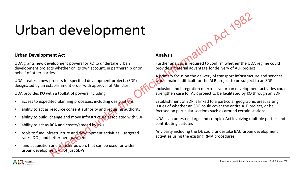### Urban development

### **Urban Development Act**

UDA grants new development powers for KO to undertake urban development projects whether on its own account, in partnership or on behalf of other parties

UDA creates a new process for specified development projects (SDP) designated by an establishment order with approval of Minister

UDA provides KO with a toolkit of powers including:

- access to expedited planning processes, including designations
- ability to act as resource consent authority and requiring authority
- ability to build, change and move infrastructure associated with SDP
- ability to act as RCA and create/amend bylaws
- tools to fund infrastructure and development activities targeted rates, DCs, and betterment payments RCA and create/amend by<br>frastructure and developm<br>betterment payments<br>and transfer powers that<br>nent - not just SDPs
- land acquisition and transfer powers that can be used for wider urban development – not just SDPs

### **Analysis**

Further analysis is required to confirm whether the UDA regime could provide a material advantage for delivery of ALR project

ilon Act 1987

A primary focus on the delivery of transport infrastructure and services would make it difficult for the ALR project to be subject to an SDP

Inclusion and integration of extensive urban development activities could strengthen case for ALR project to be facilitated by KO through an SDP

Establishment of SDP is linked to a particular geographic area, raising issues of whether an SDP could cover the entire ALR project, or be focused on particular sections such as around certain stations

UDA is an untested, large and complex Act involving multiple parties and contributing statutes

Any party including the DE could undertake BAU urban development activities using the existing RMA procedures

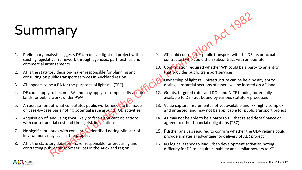### Summary

- 1. Preliminary analysis suggests DE can deliver light rail project within existing legislative framework through agencies, partnerships and commercial arrangements **THE CONSERVERS INTERFER (2008)**<br>
Next strangenents<br>
Substitute framework through agencies, partnerships and<br>
the contractopy who could contract with an o<br>
contractopy who could be a part of the Official Information Act 19
- 2. AT is the statutory decision-maker responsible for planning and consulting on public transport services in Auckland region
- 3. AT appears to be a RA for the purposes of light rail (TBC)
- 4. DE could apply to become RA and may apply to compulsorily acquire lands for public works under PWA
- 5. An assessment of what constitutes public works needs to be made on case-by-case basis noting potential issue around TOD activities
- 6. Acquisition of land using PWA likely to face significant objections with consequential cost and timing risk implications
- 7. No significant issues with consenting identified noting Minister of Environment may 'call in' the proposal
- 8. AT is the statutory decision-maker responsible for procuring and contracting public transport services in the Auckland region
- 9. AT could contract for public transport with the DE (as principal contractor) who could then subcontract with an operator
- 10. Confirmation required whether WK could be a party to an entity that provides public transport services
- Ownership of light rail infrastructure can be held by any entity, noting substantial sections of assets will be located on AC land
- 12. Grants, targeted rates and DCs, and NLTF funding potentially available to DE - but bound by various statutory processes
- 13. Value capture instruments not yet available and IFF highly complex and untested, and may not be applicable for public transport project
- 14. AT may not be able to be a party to DE that raised debt finance or agreed to other financial obligations (TBC)
- 15. Further analysis required to confirm whether the UDA regime could provide a material advantage for delivery of ALR project
- 16. KO logical agency to lead urban development activities noting difficulty for DE to acquire capability and similar powers to KO

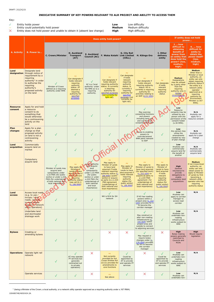100480748/4692424.2A

### **INDICATIVE SUMMARY OF KEY POWERS RELEVANT TO ALR PROJECT AND ABILITY TO ACCESS THEM**

### Key:

- 
- 
- <sup>~</sup> Entity could potentially hold power<br>
X Entity does not hold power and unable to obtain it (absent law change) **High** High difficulty **X** Entity does not hold power and unable to obtain it (absent law change)

✓ Entity holds power **Low** Low difficulty

|                   |                                |                                                                                              |          |                                                                                                                                    |                                                                         | to adjoining services                                                                                                    |                                                                         |                                                                                                     |                                             |
|-------------------|--------------------------------|----------------------------------------------------------------------------------------------|----------|------------------------------------------------------------------------------------------------------------------------------------|-------------------------------------------------------------------------|--------------------------------------------------------------------------------------------------------------------------|-------------------------------------------------------------------------|-----------------------------------------------------------------------------------------------------|---------------------------------------------|
| <b>Bylaws</b>     | Creating or<br>amending bylaws |                                                                                              |          | $\times$                                                                                                                           | $\times$                                                                | May request or<br>require bylaw<br>changes under (s.<br>176 UDA) provides<br>for KO to become<br>the corridor<br>manager | $\times$                                                                | <b>High</b><br>Bylaw making<br>powers generally<br>restricted to<br>Councils and<br><b>RCAs</b>     | <b>High</b><br>Would require<br>legislation |
| <b>Operations</b> | Operate light rail<br>network  | AT may operate<br>PT services but<br>generally<br>contracted out<br>to private<br>operators) | $\times$ | $\sim$<br>Not currently<br>provided for but<br><b>Crown Entities Act</b><br>(s112) provides for<br>amendments to<br>core functions | Could be<br>appointed by<br>AT to provide<br>and operate PT<br>services | $\times$                                                                                                                 | Could be<br>appointed by<br>AT to provide<br>and operate PT<br>services | Low<br>Anybody can<br>undertake non-<br>roading<br>infrastructure<br>works subject to<br><b>RMA</b> | N/A                                         |
|                   | Operate services               |                                                                                              | $\times$ | $\sim$<br>See above                                                                                                                | $\sqrt{}$                                                               | $\times$                                                                                                                 | $\sqrt{ }$                                                              | Low<br>Anybody can<br>undertake non-                                                                | N/A                                         |

 $1$  (being a Minister of the Crown, a local authority, or a network utility operator approved as a requiring authority under s.167 RMA)

|                            | Does entity hold power?                                                                                                                                                                     |                                                                                                                                                                                    |                                                                                                                                                                   |                                                                                                                                                                                              |                                                                                                                                                                                                                                                                               |                                                                                                                                                                                                     |                                                                                                                                                                                                                                      |                                                                                                                                                                           | If entity does not hold<br>power                                                                                                                             |                                                                                                                                                                                                                                                                              |  |
|----------------------------|---------------------------------------------------------------------------------------------------------------------------------------------------------------------------------------------|------------------------------------------------------------------------------------------------------------------------------------------------------------------------------------|-------------------------------------------------------------------------------------------------------------------------------------------------------------------|----------------------------------------------------------------------------------------------------------------------------------------------------------------------------------------------|-------------------------------------------------------------------------------------------------------------------------------------------------------------------------------------------------------------------------------------------------------------------------------|-----------------------------------------------------------------------------------------------------------------------------------------------------------------------------------------------------|--------------------------------------------------------------------------------------------------------------------------------------------------------------------------------------------------------------------------------------|---------------------------------------------------------------------------------------------------------------------------------------------------------------------------|--------------------------------------------------------------------------------------------------------------------------------------------------------------|------------------------------------------------------------------------------------------------------------------------------------------------------------------------------------------------------------------------------------------------------------------------------|--|
| A. Activity                | <b>B. Power to</b>                                                                                                                                                                          | <b>C. Crown/Minister</b>                                                                                                                                                           | <b>D. Auckland</b><br><b>Transport</b><br>(AT)                                                                                                                    | <b>E. Auckland</b><br><b>Council (AC)</b>                                                                                                                                                    | F. Waka Kotahi Link Limited                                                                                                                                                                                                                                                   | G. City Rail<br>(CRLL)                                                                                                                                                                              | H. Kāinga Ora                                                                                                                                                                                                                        | I. Other<br>delivery<br>entity                                                                                                                                            | <b>J.</b> how<br>difficult to<br>obtaining<br>benefit of<br>power from<br>an entity that<br>does hold the<br>power? (low,<br>medium,<br>high)                | <b>K.</b> how<br>difficult for<br>entity to<br>obtain the<br>power itself?<br>(low,<br>medium,<br>high)                                                                                                                                                                      |  |
| Land<br>designation        | Designate land<br>through notice of<br>requirement by a<br>requiring<br>authority <sup>1</sup> in order<br>to authorise the<br>requiring<br>authority's<br>proposed activity<br>on the land | Minister of Crown<br>defined as a requiring<br>authority under RMA                                                                                                                 | $\sim$<br>Can designate if<br>holds relevant<br>requiring<br>authority<br>status. AT<br>deemed a<br>requiring<br>authority for<br>specified<br>purposes.          | √<br>AC is a 'local<br>authority' under<br>the RMA so is a<br>requiring<br>authority.                                                                                                        | $\sim$<br>Can designate if<br>holds relevant<br>requiring authority<br>status. Is currently<br>a requiring<br>authority for<br>specified purposes<br>(not currently for<br>light rail).                                                                                       | $\sim$<br>Can designate<br>if holds<br>relevant<br>requiring<br>authority<br>status. Is<br>currently a<br>requiring<br>authority for<br>specified<br>purposes (not<br>currently for<br>light rail). | $\sim$<br>Can designate if<br>holds relevant<br>requiring authority<br>status. KO is<br>currently a requiring<br>authority for<br>activities relating to<br>an SDP (s131 UDA)                                                        | $\sim$<br>Can designate<br>if holds<br>relevant<br>requiring<br>authority<br>status                                                                                       | <b>Medium</b><br><b>Designations</b><br>may be utilised<br>by a party other<br>than the<br>requiring<br>authority only in<br><b>limited</b><br>circumstances | <b>Medium</b><br>Other than a<br>Minister or local<br>authority, an<br>entity can only<br>obtain requiring<br>authority status if<br>the entity is a<br>network utility<br>operator<br>approved as a<br>requiring<br>authority by<br>Environment<br>Minister (s.167<br>RMA). |  |
| <b>Resource</b><br>consent | Apply for and hold<br>a resource<br>consent to do<br>something that<br>would otherwise<br>be a contravening<br>activity on the<br>land                                                      |                                                                                                                                                                                    | $\checkmark$                                                                                                                                                      |                                                                                                                                                                                              | $\checkmark$                                                                                                                                                                                                                                                                  | $\checkmark$                                                                                                                                                                                        | May exercise<br>consenting functions<br>and powers<br>including land use<br>and sub-division<br>consents within SDP                                                                                                                  |                                                                                                                                                                           | Low<br>Resource<br>consents may be<br>utilised by any<br>person with the<br>permission of the<br>consent holder<br>(s.3A RMA).                               | N/A<br>Anybody can<br>apply for a<br>resource consent                                                                                                                                                                                                                        |  |
| <b>Plan</b><br>changes     | Apply for a plan<br>change so that<br>proposed activity<br>on land is not a<br>contravening<br>activity                                                                                     |                                                                                                                                                                                    | $\checkmark$                                                                                                                                                      |                                                                                                                                                                                              | $\checkmark$                                                                                                                                                                                                                                                                  |                                                                                                                                                                                                     | <b>Access to enabling</b><br>powers to<br>override/amend<br>RMA plans relevant<br>to SDP                                                                                                                                             | $\checkmark$                                                                                                                                                              | Low<br>Any person may<br>utilise the<br>amendments<br>created by way<br>of plan change                                                                       | N/A<br>Anybody can<br>apply for a plan<br>change                                                                                                                                                                                                                             |  |
| Land<br>acquisition        | Commercially<br>acquire land on<br>market                                                                                                                                                   |                                                                                                                                                                                    |                                                                                                                                                                   |                                                                                                                                                                                              |                                                                                                                                                                                                                                                                               |                                                                                                                                                                                                     |                                                                                                                                                                                                                                      | $\sqrt{}$                                                                                                                                                                 | Low<br>Anybody can<br>commercially<br>acquire land for<br>the benefit of<br>another                                                                          | N/A<br>Anybody can<br>commercially<br>acquire land                                                                                                                                                                                                                           |  |
|                            | Compulsory<br>acquire land                                                                                                                                                                  | Minister of Lands may<br>acquire land<br>compulsorily under<br>s.23 PWA (for public<br>works) or under s.224<br>PWA (for undertakings<br>of both national and<br>local importance) | $\sim$<br>May apply to<br>Minister of<br>Lands to have<br>land acquired if<br>holds relevant<br>requiring<br>authority status<br>(see cell B.1)<br>$(s. 186$ RMA) | Local authority<br>may acquire<br>land<br>compulsorily<br>under s.23 PWA<br>(for public<br>works) or under<br>s.224 PWA (for<br>undertakings of<br>both national<br>and local<br>importance) | $\sim$<br>May apply to<br>Minister of Lands<br>to have land<br>acquired if holds<br>relevant requiring<br>authority status (s.<br>186 RMA) (public<br>works) or acquire<br>as party to a s.224<br>PWA agreement<br>(undertakings of<br>both national and<br>local importance) | $\sim$<br>May apply to<br>Minister of<br>Lands to have<br>land acquired if<br>holds relevant<br>requiring<br>authority<br>status (for<br>public works)<br>(s. 186 RMA)                              | $\sim$<br>May apply to<br>Minister of Lands to<br>have land acquired<br>(for specified work)<br>(s. 253 UDA) or<br>acquire as party to<br>a s.224 PWA<br>agreement (for<br>undertakings of<br>both national and<br>local importance) | $\sim$<br>May apply to<br>Minister of<br>Lands to have<br>land acquired<br>if holds<br>relevant<br>requiring<br>authority<br>status (for<br>public works)<br>(s. 186 RMA) | <b>High</b><br>General<br>reluctance to<br>provide<br>delegations to<br>enable<br>compulsory land<br>acquisitions                                            | <b>Medium</b><br>If not Crown/local<br>authority, an<br>entity can only<br>obtain power to<br>apply to Minister<br>of Lands by first<br>becoming a<br>network utility<br>operator who has<br>requiring<br>authority status                                                   |  |
| Land<br>access             | <b>Access local roads</b><br>(e.g. to use $/$<br>occupy / stop<br>roads; relocate<br>in-road assets<br>owned by network<br>utility operators)                                               |                                                                                                                                                                                    | $\checkmark$                                                                                                                                                      | $\checkmark$                                                                                                                                                                                 | $\checkmark$<br>WK is RCA for SH<br>network                                                                                                                                                                                                                                   | $\checkmark$                                                                                                                                                                                        | If KO has roading<br>powers within a<br>project area (s. 153<br>UDA) provides for it<br>to become the<br>corridor manager                                                                                                            | $\sqrt{}$                                                                                                                                                                 | Low<br>Anybody can<br>apply to corridor<br>manager to<br>access road<br>corridor                                                                             | N/A                                                                                                                                                                                                                                                                          |  |
|                            | Undertake land<br>and stormwater<br>drainage work                                                                                                                                           |                                                                                                                                                                                    | $\checkmark$                                                                                                                                                      | $\checkmark$                                                                                                                                                                                 | $\checkmark$                                                                                                                                                                                                                                                                  | $\checkmark$                                                                                                                                                                                        | $\checkmark$<br>May construct or<br>alter non-roading<br>infrastructure (s.<br>155 UDA) within<br>project area and<br>outside to connect                                                                                             | $\checkmark$                                                                                                                                                              | Low<br>Anybody can<br>undertake non-<br>roading<br>infrastructure<br>works subject to<br><b>RMA</b>                                                          | N/A                                                                                                                                                                                                                                                                          |  |